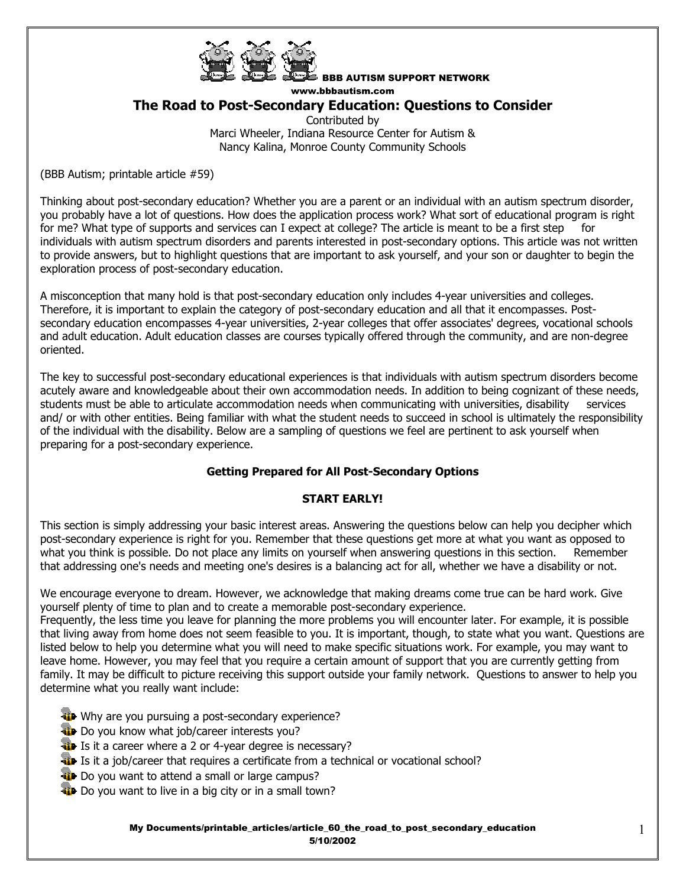

BBB AUTISM SUPPORT NETWORK www.bbbautism.com

# **The Road to Post-Secondary Education: Questions to Consider**

Contributed by Marci Wheeler, Indiana Resource Center for Autism & Nancy Kalina, Monroe County Community Schools

(BBB Autism; printable article #59)

Thinking about post-secondary education? Whether you are a parent or an individual with an autism spectrum disorder, you probably have a lot of questions. How does the application process work? What sort of educational program is right for me? What type of supports and services can I expect at college? The article is meant to be a first step for individuals with autism spectrum disorders and parents interested in post-secondary options. This article was not written to provide answers, but to highlight questions that are important to ask yourself, and your son or daughter to begin the exploration process of post-secondary education.

A misconception that many hold is that post-secondary education only includes 4-year universities and colleges. Therefore, it is important to explain the category of post-secondary education and all that it encompasses. Postsecondary education encompasses 4-year universities, 2-year colleges that offer associates' degrees, vocational schools and adult education. Adult education classes are courses typically offered through the community, and are non-degree oriented.

The key to successful post-secondary educational experiences is that individuals with autism spectrum disorders become acutely aware and knowledgeable about their own accommodation needs. In addition to being cognizant of these needs, students must be able to articulate accommodation needs when communicating with universities, disability services and/ or with other entities. Being familiar with what the student needs to succeed in school is ultimately the responsibility of the individual with the disability. Below are a sampling of questions we feel are pertinent to ask yourself when preparing for a post-secondary experience.

# **Getting Prepared for All Post-Secondary Options**

# **START EARLY!**

This section is simply addressing your basic interest areas. Answering the questions below can help you decipher which post-secondary experience is right for you. Remember that these questions get more at what you want as opposed to what you think is possible. Do not place any limits on yourself when answering questions in this section. Remember that addressing one's needs and meeting one's desires is a balancing act for all, whether we have a disability or not.

We encourage everyone to dream. However, we acknowledge that making dreams come true can be hard work. Give yourself plenty of time to plan and to create a memorable post-secondary experience.

Frequently, the less time you leave for planning the more problems you will encounter later. For example, it is possible that living away from home does not seem feasible to you. It is important, though, to state what you want. Questions are listed below to help you determine what you will need to make specific situations work. For example, you may want to leave home. However, you may feel that you require a certain amount of support that you are currently getting from family. It may be difficult to picture receiving this support outside your family network. Questions to answer to help you determine what you really want include:

- Why are you pursuing a post-secondary experience?
- **Do** you know what job/career interests you?
- It Is it a career where a 2 or 4-year degree is necessary?
- **If** Is it a job/career that requires a certificate from a technical or vocational school?
- **Do** you want to attend a small or large campus?
- Do you want to live in a big city or in a small town?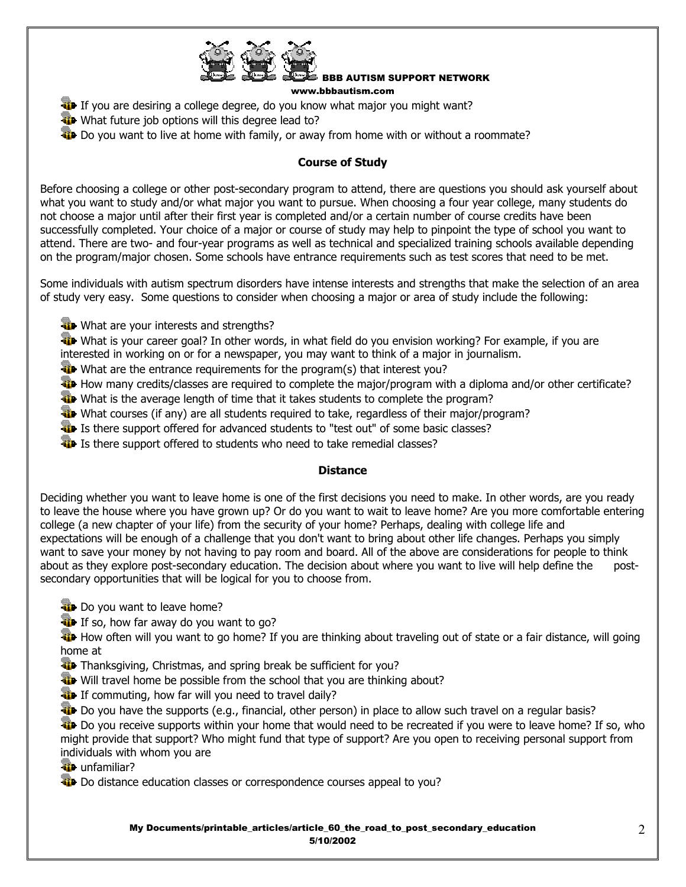

www.bbbautism.com

- If you are desiring a college degree, do you know what major you might want?
- What future job options will this degree lead to?
- Do you want to live at home with family, or away from home with or without a roommate?

### **Course of Study**

Before choosing a college or other post-secondary program to attend, there are questions you should ask yourself about what you want to study and/or what major you want to pursue. When choosing a four year college, many students do not choose a major until after their first year is completed and/or a certain number of course credits have been successfully completed. Your choice of a major or course of study may help to pinpoint the type of school you want to attend. There are two- and four-year programs as well as technical and specialized training schools available depending on the program/major chosen. Some schools have entrance requirements such as test scores that need to be met.

Some individuals with autism spectrum disorders have intense interests and strengths that make the selection of an area of study very easy. Some questions to consider when choosing a major or area of study include the following:

**What are your interests and strengths?** 

What is your career goal? In other words, in what field do you envision working? For example, if you are interested in working on or for a newspaper, you may want to think of a major in journalism.

- What are the entrance requirements for the program(s) that interest you?
- How many credits/classes are required to complete the major/program with a diploma and/or other certificate?
- What is the average length of time that it takes students to complete the program?
- What courses (if any) are all students required to take, regardless of their major/program?
- It Is there support offered for advanced students to "test out" of some basic classes?
- It Is there support offered to students who need to take remedial classes?

### **Distance**

Deciding whether you want to leave home is one of the first decisions you need to make. In other words, are you ready to leave the house where you have grown up? Or do you want to wait to leave home? Are you more comfortable entering college (a new chapter of your life) from the security of your home? Perhaps, dealing with college life and expectations will be enough of a challenge that you don't want to bring about other life changes. Perhaps you simply want to save your money by not having to pay room and board. All of the above are considerations for people to think about as they explore post-secondary education. The decision about where you want to live will help define the postsecondary opportunities that will be logical for you to choose from.

- Do you want to leave home?
- If so, how far away do you want to go?

How often will you want to go home? If you are thinking about traveling out of state or a fair distance, will going home at

- Thanksgiving, Christmas, and spring break be sufficient for you?
- Will travel home be possible from the school that you are thinking about?
- If commuting, how far will you need to travel daily?
- **Do** you have the supports (e.g., financial, other person) in place to allow such travel on a regular basis?

Do you receive supports within your home that would need to be recreated if you were to leave home? If so, who might provide that support? Who might fund that type of support? Are you open to receiving personal support from individuals with whom you are

**unfamiliar?** 

Do distance education classes or correspondence courses appeal to you?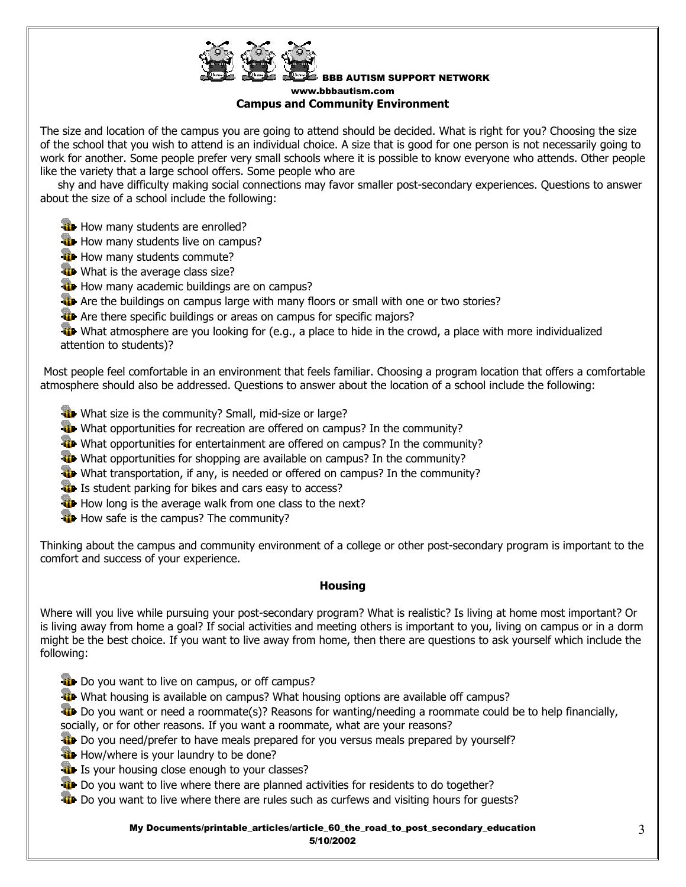

#### BBB AUTISM SUPPORT NETWORK www.bbbautism.com **Campus and Community Environment**

The size and location of the campus you are going to attend should be decided. What is right for you? Choosing the size of the school that you wish to attend is an individual choice. A size that is good for one person is not necessarily going to work for another. Some people prefer very small schools where it is possible to know everyone who attends. Other people like the variety that a large school offers. Some people who are

 shy and have difficulty making social connections may favor smaller post-secondary experiences. Questions to answer about the size of a school include the following:

- **How many students are enrolled?**
- **How many students live on campus?**
- **How many students commute?**
- What is the average class size?
- **How many academic buildings are on campus?**
- Are the buildings on campus large with many floors or small with one or two stories?
- **Are there specific buildings or areas on campus for specific majors?**
- What atmosphere are you looking for (e.g., a place to hide in the crowd, a place with more individualized attention to students)?

 Most people feel comfortable in an environment that feels familiar. Choosing a program location that offers a comfortable atmosphere should also be addressed. Questions to answer about the location of a school include the following:

- What size is the community? Small, mid-size or large?
- What opportunities for recreation are offered on campus? In the community?
- What opportunities for entertainment are offered on campus? In the community?
- What opportunities for shopping are available on campus? In the community?
- What transportation, if any, is needed or offered on campus? In the community?
- **IF** Is student parking for bikes and cars easy to access?
- How long is the average walk from one class to the next?
- **How safe is the campus? The community?**

Thinking about the campus and community environment of a college or other post-secondary program is important to the comfort and success of your experience.

### **Housing**

Where will you live while pursuing your post-secondary program? What is realistic? Is living at home most important? Or is living away from home a goal? If social activities and meeting others is important to you, living on campus or in a dorm might be the best choice. If you want to live away from home, then there are questions to ask yourself which include the following:

- **T** Do you want to live on campus, or off campus?
- What housing is available on campus? What housing options are available off campus?
- $\ddot{a}$  Do you want or need a roommate(s)? Reasons for wanting/needing a roommate could be to help financially,
- socially, or for other reasons. If you want a roommate, what are your reasons?
- **Do** you need/prefer to have meals prepared for you versus meals prepared by yourself?
- **How/where is your laundry to be done?**
- It Is your housing close enough to your classes?
- **Do you want to live where there are planned activities for residents to do together?**
- **D** Do you want to live where there are rules such as curfews and visiting hours for guests?

My Documents/printable\_articles/article\_60\_the\_road\_to\_post\_secondary\_education 5/10/2002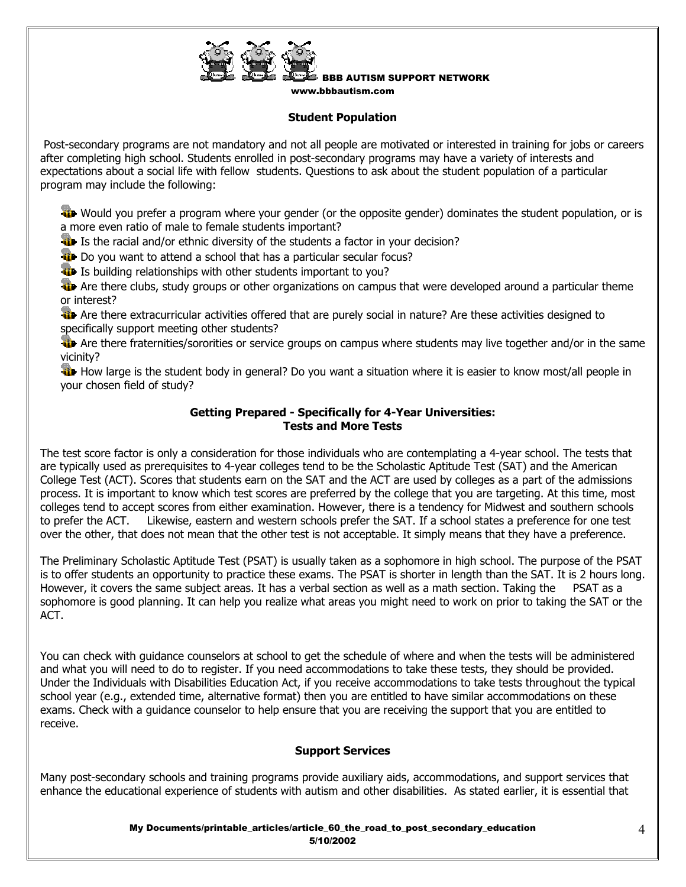

www.bbbautism.com

# **Student Population**

 Post-secondary programs are not mandatory and not all people are motivated or interested in training for jobs or careers after completing high school. Students enrolled in post-secondary programs may have a variety of interests and expectations about a social life with fellow students. Questions to ask about the student population of a particular program may include the following:

Would you prefer a program where your gender (or the opposite gender) dominates the student population, or is a more even ratio of male to female students important?

It Is the racial and/or ethnic diversity of the students a factor in your decision?

**Do** you want to attend a school that has a particular secular focus?

It Is building relationships with other students important to you?

**We** Are there clubs, study groups or other organizations on campus that were developed around a particular theme or interest?

**Are there extracurricular activities offered that are purely social in nature? Are these activities designed to** specifically support meeting other students?

Are there fraternities/sororities or service groups on campus where students may live together and/or in the same vicinity?

**How large is the student body in general?** Do you want a situation where it is easier to know most/all people in your chosen field of study?

# **Getting Prepared - Specifically for 4-Year Universities: Tests and More Tests**

The test score factor is only a consideration for those individuals who are contemplating a 4-year school. The tests that are typically used as prerequisites to 4-year colleges tend to be the Scholastic Aptitude Test (SAT) and the American College Test (ACT). Scores that students earn on the SAT and the ACT are used by colleges as a part of the admissions process. It is important to know which test scores are preferred by the college that you are targeting. At this time, most colleges tend to accept scores from either examination. However, there is a tendency for Midwest and southern schools to prefer the ACT. Likewise, eastern and western schools prefer the SAT. If a school states a preference for one test over the other, that does not mean that the other test is not acceptable. It simply means that they have a preference.

The Preliminary Scholastic Aptitude Test (PSAT) is usually taken as a sophomore in high school. The purpose of the PSAT is to offer students an opportunity to practice these exams. The PSAT is shorter in length than the SAT. It is 2 hours long. However, it covers the same subject areas. It has a verbal section as well as a math section. Taking the PSAT as a sophomore is good planning. It can help you realize what areas you might need to work on prior to taking the SAT or the ACT.

You can check with guidance counselors at school to get the schedule of where and when the tests will be administered and what you will need to do to register. If you need accommodations to take these tests, they should be provided. Under the Individuals with Disabilities Education Act, if you receive accommodations to take tests throughout the typical school year (e.g., extended time, alternative format) then you are entitled to have similar accommodations on these exams. Check with a guidance counselor to help ensure that you are receiving the support that you are entitled to receive.

### **Support Services**

Many post-secondary schools and training programs provide auxiliary aids, accommodations, and support services that enhance the educational experience of students with autism and other disabilities. As stated earlier, it is essential that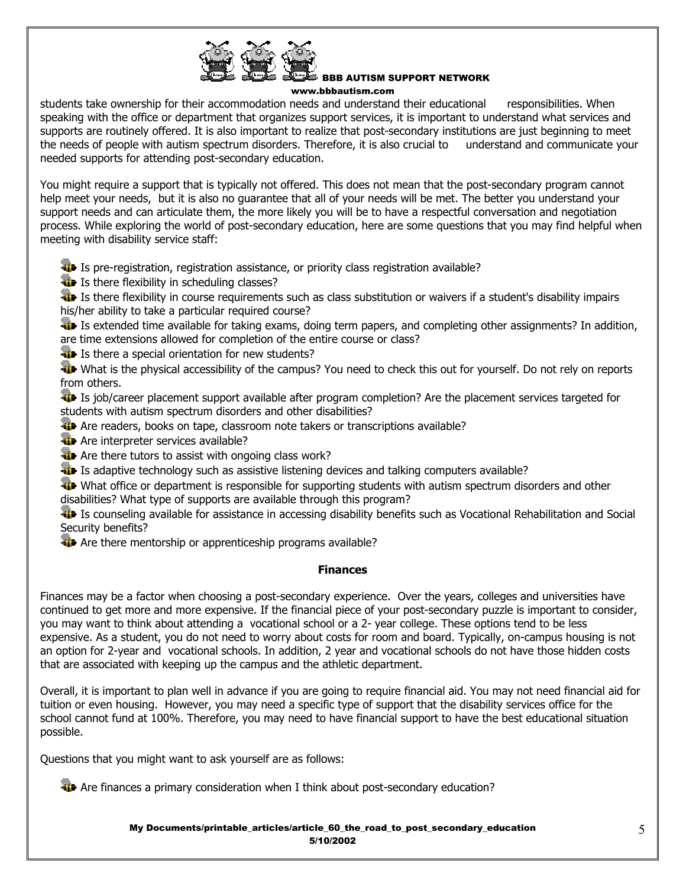

w.bbbautism.com

students take ownership for their accommodation needs and understand their educational responsibilities. When speaking with the office or department that organizes support services, it is important to understand what services and supports are routinely offered. It is also important to realize that post-secondary institutions are just beginning to meet the needs of people with autism spectrum disorders. Therefore, it is also crucial to understand and communicate your needed supports for attending post-secondary education.

You might require a support that is typically not offered. This does not mean that the post-secondary program cannot help meet your needs, but it is also no guarantee that all of your needs will be met. The better you understand your support needs and can articulate them, the more likely you will be to have a respectful conversation and negotiation process. While exploring the world of post-secondary education, here are some questions that you may find helpful when meeting with disability service staff:

**ID** Is pre-registration, registration assistance, or priority class registration available?

**I** Is there flexibility in scheduling classes?

**ID** Is there flexibility in course requirements such as class substitution or waivers if a student's disability impairs his/her ability to take a particular required course?

 Is extended time available for taking exams, doing term papers, and completing other assignments? In addition, are time extensions allowed for completion of the entire course or class?

**If** Is there a special orientation for new students?

What is the physical accessibility of the campus? You need to check this out for yourself. Do not rely on reports from others.

Is job/career placement support available after program completion? Are the placement services targeted for students with autism spectrum disorders and other disabilities?

- Are readers, books on tape, classroom note takers or transcriptions available?
- **Are interpreter services available?**

**Are there tutors to assist with ongoing class work?** 

**If** Is adaptive technology such as assistive listening devices and talking computers available?

What office or department is responsible for supporting students with autism spectrum disorders and other disabilities? What type of supports are available through this program?

 Is counseling available for assistance in accessing disability benefits such as Vocational Rehabilitation and Social Security benefits?

**Are there mentorship or apprenticeship programs available?** 

### **Finances**

Finances may be a factor when choosing a post-secondary experience. Over the years, colleges and universities have continued to get more and more expensive. If the financial piece of your post-secondary puzzle is important to consider, you may want to think about attending a vocational school or a 2- year college. These options tend to be less expensive. As a student, you do not need to worry about costs for room and board. Typically, on-campus housing is not an option for 2-year and vocational schools. In addition, 2 year and vocational schools do not have those hidden costs that are associated with keeping up the campus and the athletic department.

Overall, it is important to plan well in advance if you are going to require financial aid. You may not need financial aid for tuition or even housing. However, you may need a specific type of support that the disability services office for the school cannot fund at 100%. Therefore, you may need to have financial support to have the best educational situation possible.

Questions that you might want to ask yourself are as follows:

**Are finances a primary consideration when I think about post-secondary education?** 

My Documents/printable\_articles/article\_60\_the\_road\_to\_post\_secondary\_education 5/10/2002